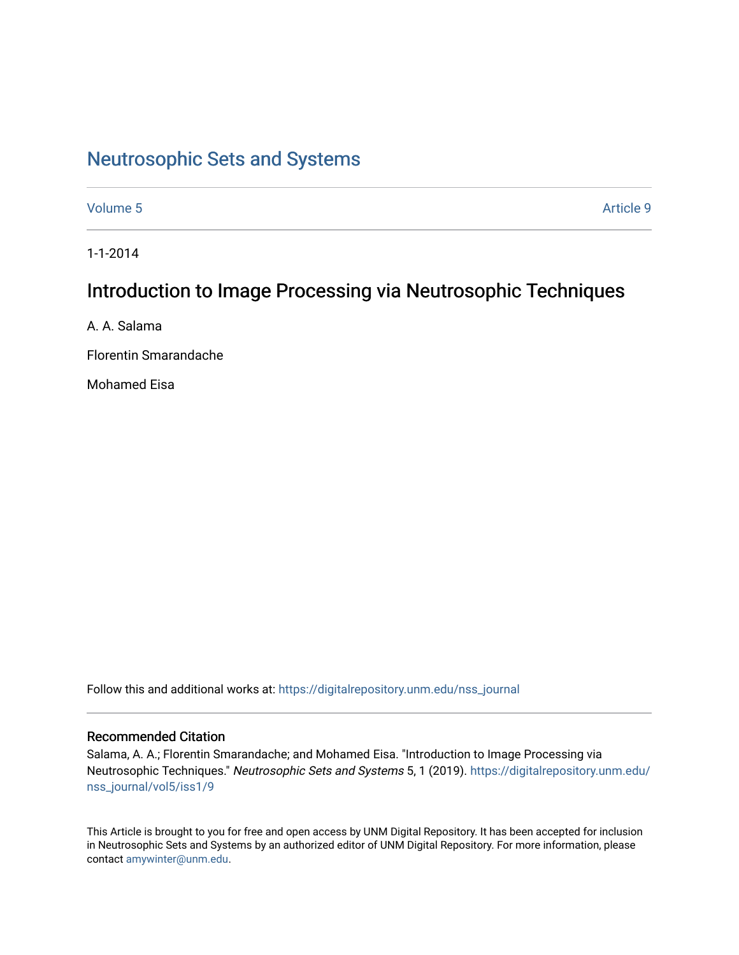# [Neutrosophic Sets and Systems](https://digitalrepository.unm.edu/nss_journal)

[Volume 5](https://digitalrepository.unm.edu/nss_journal/vol5) Article 9

1-1-2014

## Introduction to Image Processing via Neutrosophic Techniques

A. A. Salama

Florentin Smarandache

Mohamed Eisa

Follow this and additional works at: [https://digitalrepository.unm.edu/nss\\_journal](https://digitalrepository.unm.edu/nss_journal?utm_source=digitalrepository.unm.edu%2Fnss_journal%2Fvol5%2Fiss1%2F9&utm_medium=PDF&utm_campaign=PDFCoverPages) 

## Recommended Citation

Salama, A. A.; Florentin Smarandache; and Mohamed Eisa. "Introduction to Image Processing via Neutrosophic Techniques." Neutrosophic Sets and Systems 5, 1 (2019). [https://digitalrepository.unm.edu/](https://digitalrepository.unm.edu/nss_journal/vol5/iss1/9?utm_source=digitalrepository.unm.edu%2Fnss_journal%2Fvol5%2Fiss1%2F9&utm_medium=PDF&utm_campaign=PDFCoverPages) [nss\\_journal/vol5/iss1/9](https://digitalrepository.unm.edu/nss_journal/vol5/iss1/9?utm_source=digitalrepository.unm.edu%2Fnss_journal%2Fvol5%2Fiss1%2F9&utm_medium=PDF&utm_campaign=PDFCoverPages) 

This Article is brought to you for free and open access by UNM Digital Repository. It has been accepted for inclusion in Neutrosophic Sets and Systems by an authorized editor of UNM Digital Repository. For more information, please contact [amywinter@unm.edu](mailto:amywinter@unm.edu).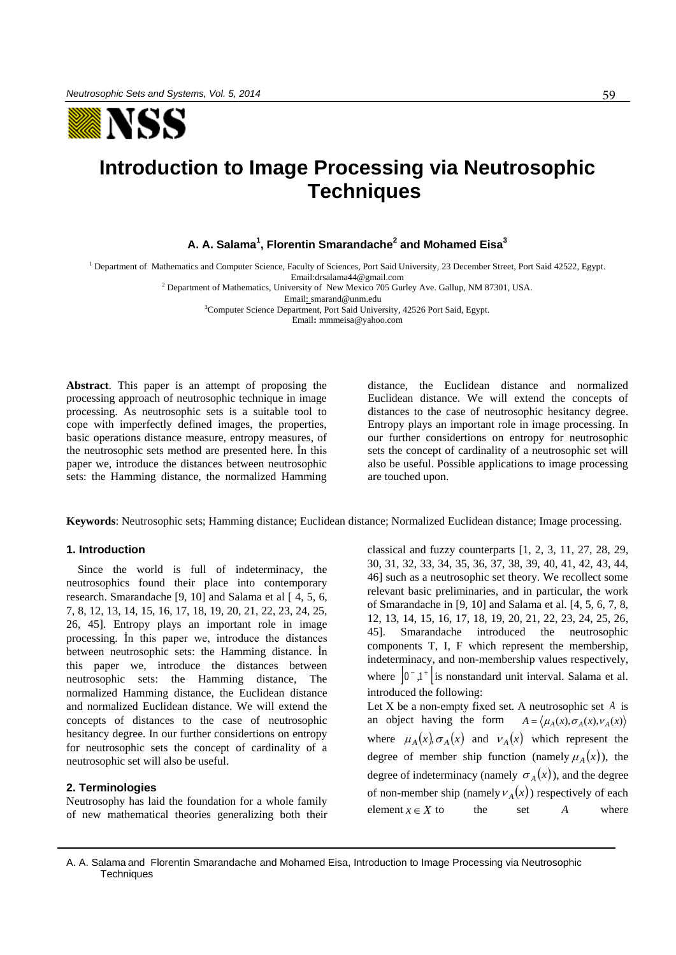

## **Introduction to Image Processing via Neutrosophic Techniques**

## **A. A. Salama<sup>1</sup> , Florentin Smarandache<sup>2</sup> and Mohamed Eisa<sup>3</sup>**

<sup>1</sup> Department of Mathematics and Computer Science, Faculty of Sciences, Port Said University, 23 December Street, Port Said 42522, Egypt. Emai[l:drsalama44@gmail.com](mailto:drsalama44@gmail.com)

<sup>2</sup> Department of Mathematics, University of New Mexico 705 Gurley Ave. Gallup, NM 87301, USA.

Email: [smarand@unm.edu](mailto:smarand@unm.edu)

<sup>3</sup>Computer Science Department, Port Said University, 42526 Port Said, Egypt. Email**:** mmmeisa@yahoo.com

**Abstract**. This paper is an attempt of proposing the processing approach of neutrosophic technique in image processing. As neutrosophic sets is a suitable tool to cope with imperfectly defined images, the properties, basic operations distance measure, entropy measures, of the neutrosophic sets method are presented here. İn this paper we, introduce the distances between neutrosophic sets: the Hamming distance, the normalized Hamming

distance, the Euclidean distance and normalized Euclidean distance. We will extend the concepts of distances to the case of neutrosophic hesitancy degree. Entropy plays an important role in image processing. In our further considertions on entropy for neutrosophic sets the concept of cardinality of a neutrosophic set will also be useful. Possible applications to image processing are touched upon.

**Keywords**: Neutrosophic sets; Hamming distance; Euclidean distance; Normalized Euclidean distance; Image processing.

#### **1. Introduction**

Since the world is full of indeterminacy, the neutrosophics found their place into contemporary research. Smarandache [9, 10] and Salama et al [ 4, 5, 6, 7, 8, 12, 13, 14, 15, 16, 17, 18, 19, 20, 21, 22, 23, 24, 25, 26, 45]. Entropy plays an important role in image processing. İn this paper we, introduce the distances between neutrosophic sets: the Hamming distance. İn this paper we, introduce the distances between neutrosophic sets: the Hamming distance, The normalized Hamming distance, the Euclidean distance and normalized Euclidean distance. We will extend the concepts of distances to the case of neutrosophic hesitancy degree. In our further considertions on entropy for neutrosophic sets the concept of cardinality of a neutrosophic set will also be useful.

## **2. Terminologies**

Neutrosophy has laid the foundation for a whole family of new mathematical theories generalizing both their classical and fuzzy counterparts [1, 2, 3, 11, 27, 28, 29, 30, 31, 32, 33, 34, 35, 36, 37, 38, 39, 40, 41, 42, 43, 44, 46] such as a neutrosophic set theory. We recollect some relevant basic preliminaries, and in particular, the work of Smarandache in [9, 10] and Salama et al. [4, 5, 6, 7, 8, 12, 13, 14, 15, 16, 17, 18, 19, 20, 21, 22, 23, 24, 25, 26, 45]. Smarandache introduced the neutrosophic components T, I, F which represent the membership, indeterminacy, and non-membership values respectively, where  $|0, 1, 1|$  is nonstandard unit interval. Salama et al. introduced the following:

Let X be a non-empty fixed set. A neutrosophic set A is an object having the form  $A = \langle \mu_A(x), \sigma_A(x), \nu_A(x) \rangle$ where  $\mu_A(x), \sigma_A(x)$  and  $\nu_A(x)$  which represent the degree of member ship function (namely  $\mu_A(x)$ ), the degree of indeterminacy (namely  $\sigma_A(x)$ ), and the degree of non-member ship (namely  $v_A(x)$ ) respectively of each element  $x \in X$ the set *A* where

A. A. Salama and Florentin Smarandache and Mohamed Eisa, Introduction to Image Processing via Neutrosophic **Techniques**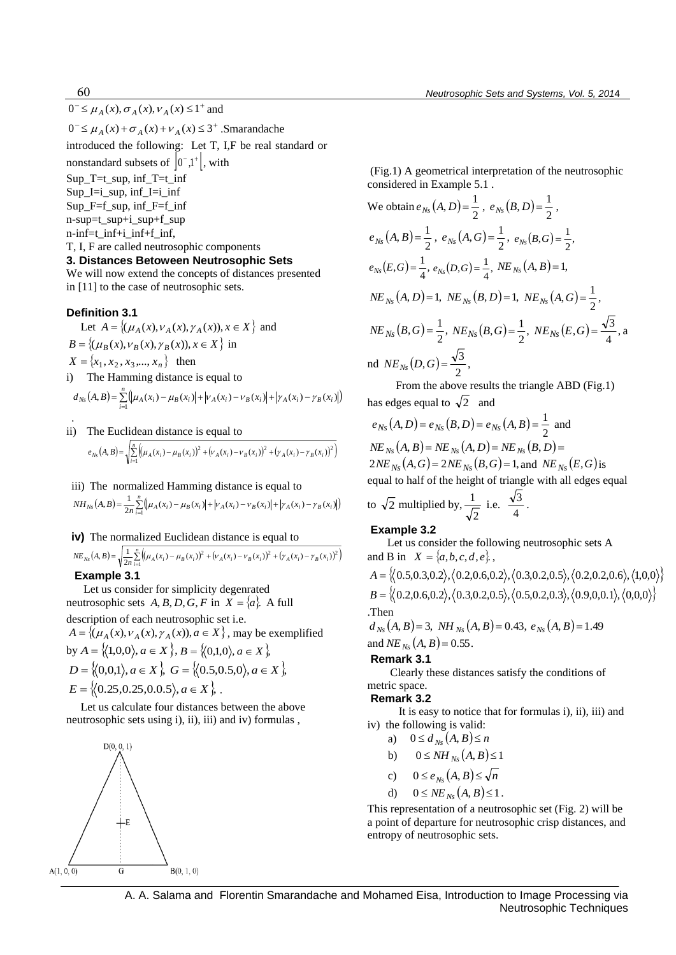$0^- \leq \mu_A(x), \sigma_A(x), v_A(x) \leq 1^+$  and

 $0^-$  ≤  $\mu_A(x)$  +  $\sigma_A(x)$  +  $\nu_A(x)$  ≤ 3<sup>+</sup>. Smarandache introduced the following: Let T, I,F be real standard or nonstandard subsets of  $|0,1^+|$ , with Sup  $T=t$  sup, inf  $T=t$  inf Sup\_I=i\_sup, inf\_I=i\_inf Sup  $F=f$  sup, inf  $F=f$  inf n-sup=t\_sup+i\_sup+f\_sup n-inf=t\_inf+i\_inf+f\_inf, T, I, F are called neutrosophic components **3. Distances Betoween Neutrosophic Sets** We will now extend the concepts of distances presented

in [11] to the case of neutrosophic sets.

## **Definition 3.1**

.

Let  $A = \{ (\mu_A(x), \nu_A(x), \gamma_A(x)), x \in X \}$  and  $B = \{ (\mu_B(x), \nu_B(x), \gamma_B(x)), x \in X \}$  in  $X = \{x_1, x_2, x_3, \dots, x_n\}$  then i) The Hamming distance is equal to { $x_1, x_2, x_3, ..., x_n$ } then<br>The Hamming distance is equal to<br> $(A, B) = \sum_{i=1}^{n} (\mu_A(x_i) - \mu_B(x_i)| + |v_A(x_i) - v_B(x_i)| + |v_A(x_i) - v_B(x_i)|)$ *n*

$$
d_{Ns}(A,B) = \sum_{i=1}^{n} (\mu_A(x_i) - \mu_B(x_i) + |\nu_A(x_i) - \nu_B(x_i)| + |\gamma_A(x_i) - \gamma_B(x_i)|)
$$

ii) The Euclidean distance is equal to

The Euclidean distance is equal to  
\n
$$
e_{N_5}(A, B) = \sqrt{\sum_{i=1}^{n} ((\mu_A(x_i) - \mu_B(x_i))^2 + (\nu_A(x_i) - \nu_B(x_i))^2 + (\gamma_A(x_i) - \gamma_B(x_i))^2)}
$$

iii) The normalized Hamming distance is equal to The normalized Hamming distance is equal to<br>  $(A, B) = \frac{1}{2n} \sum_{i=1}^{n} (\mu_A(x_i) - \mu_B(x_i)| + |v_A(x_i) - v_B(x_i)| + |v_A(x_i) - v_B(x_i)|)$  $NH_{Ns}(A, B) = \frac{1}{2n} \sum_{i=1}^{N} (\mu_A(x_i) - \mu_B(x_i)) + |\nu_A(x_i) - \nu_B(x_i)| + |\gamma_A(x_i) - \gamma_B(x_i)|$  $\mathcal{L}(B) = \frac{1}{2} \sum_{i=1}^{n} (\mu_A(x_i) - \mu_B(x_i)) + |\nu_A(x_i) - \nu_B(x_i)| + |\gamma_A(x_i) - \gamma_A(x_i)|$ 

#### **iv)** The normalized Euclidean distance is equal to

iv) The normalized Euclidean distance is equal to  
\n
$$
NE_{Ns}(A, B) = \sqrt{\frac{1}{2n} \sum_{i=1}^{n} \left( \mu_A(x_i) - \mu_B(x_i) \right)^2 + \left( \nu_A(x_i) - \nu_B(x_i) \right)^2 + \left( \gamma_A(x_i) - \gamma_B(x_i) \right)^2 \right)}
$$
\n**Exempla 3.4**

 **Example 3.1** 

 Let us consider for simplicity degenrated neutrosophic sets  $A, B, D, G, F$  in  $X = \{a\}$ . A full description of each neutrosophic set i.e.  $A = \{(\mu_A(x), \nu_A(x), \gamma_A(x)), a \in X\}$ , may be exemplified

by  $A = \{(1,0,0), a \in X\}, B = \{(0,1,0), a \in X\}$  $D = \{(0,0,1), a \in X\}$ ,  $G = \{(0.5,0.5,0), a \in X\}$  $E = \{(0.25, 0.25, 0.0.5), a \in X\},\$ 

 Let us calculate four distances between the above neutrosophic sets using i), ii), iii) and iv) formulas ,



 (Fig.1) A geometrical interpretation of the neutrosophic considered in Example 5.1 .

$$
f \leq \mu_A(x), \sigma_A(x), \nu_A(x) ≤ l^2
$$
 and  
\nrotduced the following: Let T, LF be real standard or  
\nunstandard subsets of  $[0^*1^k]$ , with  
\n $\rho_1 F = \text{sup. inf } T = \text{sup. inf } T = \text{sup. inf } T = \text{sup. inf } T = \text{sup. inf } T = \text{sup. inf } T = \text{sup. inf } T = \text{sup. inf } T = \text{sup. inf } T = \text{sup. inf } T = \text{sup. inf } T = \text{sup. inf } T = \text{sup. inf } T = \text{sup. inf } T = \text{sup. inf } T = \text{sup. inf } T = \text{sup. inf } T = \text{sup. inf } T = \text{sup. inf } T = \text{sup. inf } T = \text{sup. inf } T = \text{sup. inf } T = \text{sup. inf } T = \text{sup. inf } T = \text{sup. inf } T = \text{sup. inf } T = \text{sup. inf } T = \text{sup. inf } T = \text{sup. inf } T = \text{sup. inf } T = \text{sup. inf } T = \text{sup. inf } T = \text{sup. inf } T = \text{sup. inf } T = \text{sup. inf } T = \text{sup. inf } T = \text{sup. inf } T = \text{sup. inf } T = \text{sup. inf } T = \text{sup. inf } T = \text{sup. inf } T = \text{sup. inf } T = \text{sup. inf } T = \text{sup. inf } T = \text{sup. inf } T = \text{sup. inf } T = \text{sup. inf } T = \text{sup. inf } T = \text{sup. inf } T = \text{sup. inf } T = \text{sup. inf } T = \text{sup. inf } T = \text{sup. inf } T = \text{sup. inf } T = \text{sup. inf } T = \text{sup. inf } T = \text{sup. inf } T = \text{sup. inf } T = \text{sup. inf } T = \text{sup. inf } T = \text{sup. inf } T = \text{sup. inf } T = \text{sup. inf } T = \text{sup. inf } T = \text{sup. inf } T = \text{sup. inf } T = \text{sup. inf } T = \text{sup. inf } T = \text{sup. inf } T = \text{sup. inf } T = \text{sup. inf } T = \text{sup. inf } T = \text{sup. inf } T = \text{sup. inf } T = \text{sup. inf } T = \text{sup. inf } T$ 

 From the above results the triangle ABD (Fig.1) has edges equal to  $\sqrt{2}$  and

dges equal to  $\sqrt{2}$  and<br>  $(A, D) = e_{Ns}(B, D) = e_{Ns}(A, B) = \frac{1}{2}$  a  $e_{Ns}(A, D) = e_{Ns}(B, D) = e_{Ns}(A, B) = \frac{1}{2}$  and  $NE_{N_{\rm S}}(A, B) = NE_{N_{\rm S}}(A, D) = NE_{N_{\rm S}}(B, D) =$  $NE_{Ns}(A, B) = NE_{Ns}(A, D) = NE_{Ns}(B, D) =$ <br>  $2NE_{Ns}(A, G) = 2NE_{Ns}(B, G) = 1$ , and  $NE_{Ns}(E, G)$  is equal to half of the height of triangle with all edges equal

to 
$$
\sqrt{2}
$$
 multiplied by,  $\frac{1}{\sqrt{2}}$  i.e.  $\frac{\sqrt{3}}{4}$ .

#### **Example 3.2**

Let us consider the following neutrosophic sets A and B in  $X = \{a, b, c, d, e\}$ ,

$$
A = \{(0.5, 0.3, 0.2), (0.2, 0.6, 0.2), (0.3, 0.2, 0.5), (0.2, 0.2, 0.6), (1, 0, 0)\}\
$$
  

$$
B = \{(0.2, 0.6, 0.2), (0.3, 0.2, 0.5), (0.5, 0.2, 0.3), (0.9, 0, 0.1), (0, 0, 0)\}
$$
  
Then

 $d_{N<sub>S</sub>}(A, B) = 3$ , *NH*  $_{N<sub>S</sub>}(A, B) = 0.43$ ,  $e_{N<sub>S</sub>}(A, B) = 1.49$ and  $NE_{Ns}(A, B) = 0.55$ .

#### **Remark 3.1**

 Clearly these distances satisfy the conditions of metric space.

#### **Remark 3.2**

 It is easy to notice that for formulas i), ii), iii) and iv) the following is valid:

- a)  $0 \le d_{Ns}(A, B) \le n$
- b)  $0 \leq NH_{N_s}(A, B) \leq 1$
- c)  $0 \le e_{Ns}(A, B) \le \sqrt{n}$
- d)  $0 \leq NE_{Ns}(A, B) \leq 1$ .

This representation of a neutrosophic set (Fig. 2) will be a point of departure for neutrosophic crisp distances, and entropy of neutrosophic sets.

60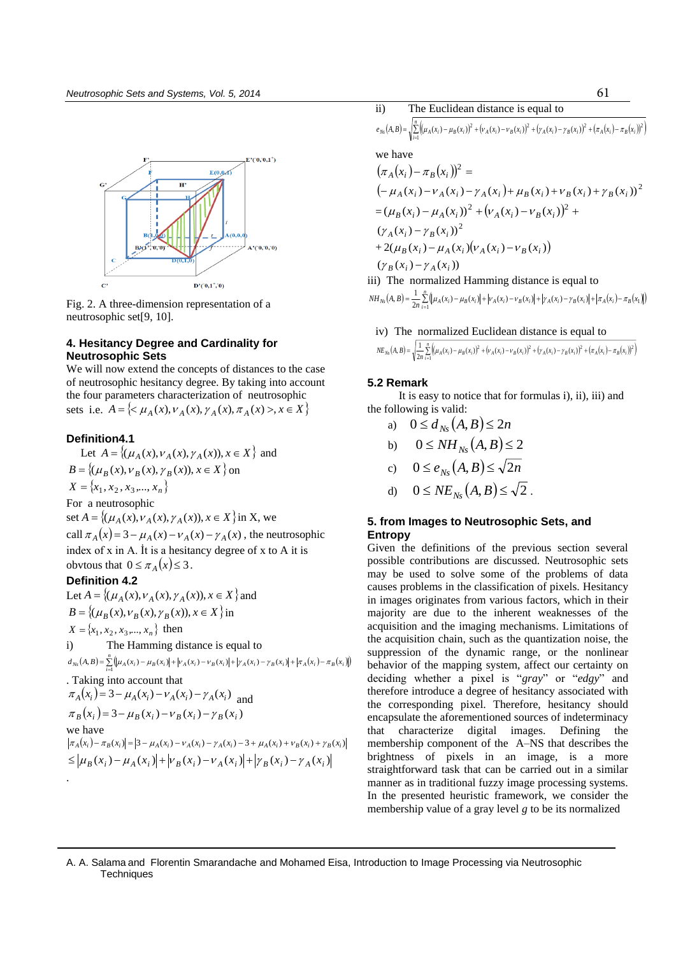

Fig. 2. A three-dimension representation of a neutrosophic set[9, 10].

## **4. Hesitancy Degree and Cardinality for Neutrosophic Sets**

We will now extend the concepts of distances to the case of neutrosophic hesitancy degree. By taking into account the four parameters characterization of neutrosophic sets i.e.  $A = \{ \langle \mu_A(x), \nu_A(x), \gamma_A(x), \pi_A(x) \rangle, x \in X \}$ 

#### **Definition4.1**

Let  $A = \{ (\mu_A(x), \nu_A(x), \gamma_A(x)), x \in X \}$  and  $B = \{(\mu_B(x), \nu_B(x), \gamma_B(x)), x \in X\}$  on  $X = \{x_1, x_2, x_3, \dots, x_n\}$ For a neutrosophic set  $A = \{ (\mu_A(x), \nu_A(x), \gamma_A(x)), x \in X \}$  in X, we set  $A = \{ (\mu_A(x), \nu_A(x), \gamma_A(x)), x \in X \}$  in X, we<br>call  $\pi_A(x) = 3 - \mu_A(x) - \nu_A(x) - \gamma_A(x)$ , the neutrosophic index of x in A. İt is a hesitancy degree of x to A it is obvtous that  $0 \leq \pi_A(x) \leq 3$ . **Definition 4.2** 

Let  $A = \{(\mu_A(x), \nu_A(x), \gamma_A(x)), x \in X\}$  and  $B = \{(\mu_B(x), \nu_B(x), \gamma_B(x)), x \in X\}$  in  $X = \{x_1, x_2, x_3, \dots, x_n\}$  then i) The Hamming distance is equal to = { $x_1, x_2, x_3, ..., x_n$ } then acquisi<br>
The Hamming distance is equal to the acquisi<br>  $(A, B) = \sum_{i=1}^{n} (\mu_A(x_i) - \mu_B(x_i)| + |\mu_A(x_i) - \nu_B(x_i)| + |\mu_A(x_i) - \pi_B(x_i)| + |\pi_A(x_i) - \pi_B(x_i)|)$  behavior

 $d_{Ns}(A, B) = \sum_{i=1}^{N} (\mu_A(x_i) - \mu_B(x_i)) + |\nu_A(x_i) - \nu_B(x_i)| + |\gamma_A(x_i) - \gamma_B(x_i)| + |\pi_A(x_i) - \pi_B(x_i)|$ . Taking into account that Taking into account that<br>  $\pi_A(x_i) = 3 - \mu_A(x_i) - \nu_A(x_i) - \gamma_A(x_i)$  and  $\pi_A(x_i) = 3 - \mu_A(x_i) - \nu_A(x_i) - \gamma_A(x_i)$  as<br>  $\pi_B(x_i) = 3 - \mu_B(x_i) - \nu_B(x_i) - \gamma_B(x_i)$ we have  $|\pi_A(x_i) - \pi_B(x_i)| = |3 - \mu_A(x_i) - \nu_A(x_i) - \gamma_A(x_i) - 3 + \mu_A(x_i) + \nu_B(x_i) + \gamma_B(x_i)|$  $\leq |\mu_{B}(x_{i}) - \mu_{A}(x_{i})| + |\nu_{B}(x_{i}) - \nu_{A}(x_{i})| + |\gamma_{B}(x_{i}) - \gamma_{A}(x_{i})|$ .

ii) The Euclidean distance is equal to

**61**<br> **i n Euclidean distance is equal to <br>**  $(A, B) = \sqrt{\sum_{i=1}^{n} ((\mu_A(x_i) - \mu_B(x_i))^2 + (\nu_A(x_i) - \nu_B(x_i))^2 + (\nu_A(x_i) - \nu_B(x_i))^2 + (\pi_A(x_i) - \pi_B(x_i))^2)}$  $e_{Ns}(A, B) = \sqrt{\sum_{i=1}^{N} ((\mu_A(x_i) - \mu_B(x_i))^2 + (\nu_A(x_i) - \nu_B(x_i))^2 + (\gamma_A(x_i) - \gamma_B(x_i))^2 + (\pi_A(x_i) - \pi_B(x_i))^2}$  $\mathcal{L}(B) = \sqrt{\sum_{i} (\mu_A(x_i) - \mu_B(x_i))^2 + (\nu_A(x_i) - \nu_B(x_i))^2 + (\gamma_A(x_i) - \gamma_B(x_i))^2 + (\pi_A(x_i) - \pi_B(x_i))^2}$ 

we have

$$
(\pi_A(x_i) - \pi_B(x_i))^2 =
$$
  
\n
$$
(-\mu_A(x_i) - \nu_A(x_i) - \gamma_A(x_i) + \mu_B(x_i) + \nu_B(x_i) + \gamma_B(x_i))^2
$$
  
\n
$$
= (\mu_B(x_i) - \mu_A(x_i))^2 + (\nu_A(x_i) - \nu_B(x_i))^2 + (\gamma_A(x_i) - \gamma_B(x_i))^2
$$
  
\n
$$
+ 2(\mu_B(x_i) - \mu_A(x_i)(\nu_A(x_i) - \nu_B(x_i))
$$
  
\n
$$
(\gamma_B(x_i) - \gamma_A(x_i))
$$

iii) The normalized Hamming distance is equal to

 $\gamma_B(x_i) - \gamma_A(x_i)$ <br>
The normalized Hamming distance is equal to<br>  $(A, B) = \frac{1}{2n} \sum_{i=1}^{n} (\mu_A(x_i) - \mu_B(x_i)| + |\gamma_A(x_i) - \gamma_B(x_i)| + |\gamma_A(x_i) - \gamma_B(x_i)|)$  $NH_{Ns}(A, B) = \frac{1}{2n} \sum_{i=1}^{n} || \mu_A(x_i) - \mu_B(x_i) || + |\nu_A(x_i) - \nu_B(x_i) || + |\gamma_A(x_i) - \gamma_B(x_i) || + |\pi_A(x_i) - \pi_B(x_i)||$  $\mathcal{L}(B) = \frac{1}{2} \sum_{i=1}^{n} (\mu_A(x_i) - \mu_B(x_i)) + |\nu_A(x_i) - \nu_B(x_i)| + |\gamma_A(x_i) - \gamma_B(x_i)| + |\pi_A(x_i) - \pi_A(x_i)|$ 

iv) The normalized Euclidean distance is equal to  
\n
$$
NE_{N_0}(A, B) = \sqrt{\frac{1}{2n} \sum_{i=1}^{n} ((\mu_A(x_i) - \mu_B(x_i))^2 + (\gamma_A(x_i) - \gamma_B(x_i))^2 + (\gamma_A(x_i) - \gamma_B(x_i))^2 + (\pi_A(x_i) - \pi_B(x_i))^2)}
$$

#### **5.2 Remark**

 It is easy to notice that for formulas i), ii), iii) and the following is valid:

a)  $0 \le d_{Ns}(A, B) \le 2n$ 

b) 
$$
0 \leq NH_{Ns}(A, B) \leq 2
$$

c) 
$$
0 \le e_{Ns}(A, B) \le \sqrt{2n}
$$

$$
\begin{array}{ll}\n\text{d)} & 0 \leq N E_{N_s}(A, B) \leq \sqrt{2} \, .\n\end{array}
$$

## **5. from Images to Neutrosophic Sets, and Entropy**

Given the definitions of the previous section several possible contributions are discussed. Neutrosophic sets may be used to solve some of the problems of data causes problems in the classification of pixels. Hesitancy in images originates from various factors, which in their majority are due to the inherent weaknesses of the acquisition and the imaging mechanisms. Limitations of the acquisition chain, such as the quantization noise, the suppression of the dynamic range, or the nonlinear behavior of the mapping system, affect our certainty on deciding whether a pixel is "*gray*" or "*edgy*" and therefore introduce a degree of hesitancy associated with the corresponding pixel. Therefore, hesitancy should encapsulate the aforementioned sources of indeterminacy that characterize digital images. Defining the membership component of the A–NS that describes the brightness of pixels in an image, is a more straightforward task that can be carried out in a similar manner as in traditional fuzzy image processing systems. In the presented heuristic framework, we consider the membership value of a gray level *g* to be its normalized

#### A. A. Salama and Florentin Smarandache and Mohamed Eisa, Introduction to Image Processing via Neutrosophic **Techniques**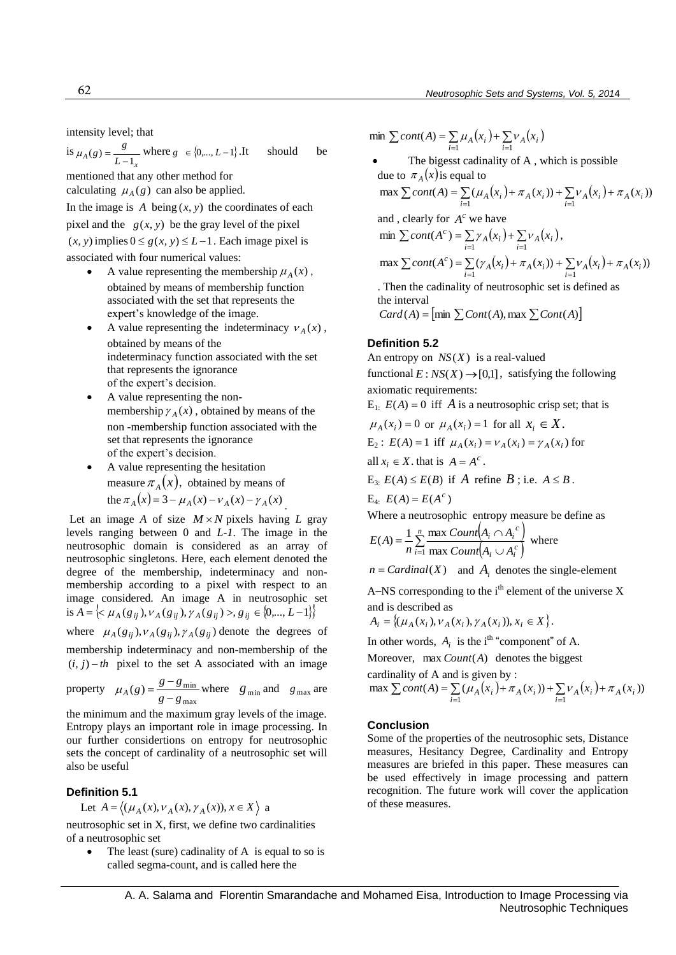intensity level; that

is 
$$
\mu_A(g) = \frac{g}{L-1_x}
$$
 where  $g \in \{0, ..., L-1\}$ . It should be

mentioned that any other method for calculating  $\mu_A(g)$  can also be applied.

In the image is  $A$  being  $(x, y)$  the coordinates of each pixel and the  $g(x, y)$  be the gray level of the pixel  $(x, y)$  implies  $0 \le g(x, y) \le L - 1$ . Each image pixel is associated with four numerical values:

- A value representing the membership  $\mu_A(x)$ , obtained by means of membership function associated with the set that represents the expert's knowledge of the image.
- A value representing the indeterminacy  $v_A(x)$ , obtained by means of the indeterminacy function associated with the set that represents the ignorance of the expert's decision.
- A value representing the nonmembership  $\gamma_A(x)$ , obtained by means of the non -membership function associated with the set that represents the ignorance of the expert's decision.
- A value representing the hesitation measure  $\pi_A(x)$ , obtained by means of measure  $\pi_A(x)$ , obtained by means of<br>the  $\pi_A(x) = 3 - \mu_A(x) - \nu_A(x) - \gamma_A(x)$ .

Let an image A of size  $M \times N$  pixels having L gray levels ranging between 0 and *L-1*. The image in the neutrosophic domain is considered as an array of neutrosophic singletons. Here, each element denoted the degree of the membership, indeterminacy and nonmembership according to a pixel with respect to an image considered. An image A in neutrosophic set membership according to a pixel with respect to an image considered. An image A in neutrosophic set is  $A = \{ \langle \mu_A(g_{ij}), \nu_A(g_{ij}), \gamma_A(g_{ij}) \rangle, g_{ij} \in \{0, ..., L-1\} \}$ 

where  $\mu_A(g_{ij}), \nu_A(g_{ij}), \gamma_A(g_{ij})$  denote the degrees of

membership indeterminacy and non-membership of the  $(i, j) - th$  pixel to the set A associated with an image

property 
$$
\mu_A(g) = \frac{g - g_{\text{min}}}{g - g_{\text{max}}}
$$
 where  $g_{\text{min}}$  and  $g_{\text{max}}$  are

the minimum and the maximum gray levels of the image. Entropy plays an important role in image processing. In our further considertions on entropy for neutrosophic sets the concept of cardinality of a neutrosophic set will also be useful

#### **Definition 5.1**

Let 
$$
A = \langle (\mu_A(x), \nu_A(x), \gamma_A(x)), x \in X \rangle
$$
 a

neutrosophic set in X, first, we define two cardinalities of a neutrosophic set

 The least (sure) cadinality of A is equal to so is called segma-count, and is called here the

$$
\min \sum cont(A) = \sum_{i=1} \mu_A(x_i) + \sum_{i=1} \nu_A(x_i)
$$

• The bigesst cadinality of A, which is possible<br>due to  $\pi_A(x)$  is equal to<br> $\max \sum cont(A) = \sum_{i=1}^{\infty} (\mu_A(x_i) + \pi_A(x_i)) + \sum_{i=1}^{\infty} \nu_A(x_i) + \pi_A(x_i))$ due to  $\pi_A(x)$  is equal to

$$
\text{ax } \sum cont(A) = \sum_{i=1} (\mu_A(x_i) + \pi_A(x_i)) + \sum_{i=1} \nu_A(x_i) + \pi_A(x_i)
$$

and, clearly for 
$$
A^c
$$
 we have  
\nmin  $\sum cont(A^c) = \sum_{i=1} \gamma_A(x_i) + \sum_{i=1} \nu_A(x_i)$ ,  
\nmax  $\sum cont(A^c) = \sum_{i=1} (\gamma_A(x_i) + \pi_A(x_i)) + \sum_{i=1} \nu_A(x_i) + \pi_A(x_i))$ 

. Then the cadinality of neutrosophic set is defined as the interval

 $Card(A)$  =  $\left[\min\sum Cont(A),\max\sum Cont(A)\right]$ 

## **Definition 5.2**

An entropy on  $NS(X)$  is a real-valued functional  $E: NS(X) \rightarrow [0,1]$ , satisfying the following axiomatic requirements:

 $E_1$ :  $E(A) = 0$  iff A is a neutrosophic crisp set; that is

$$
\mu_A(x_i) = 0
$$
 or  $\mu_A(x_i) = 1$  for all  $x_i \in X$ .  
\nE<sub>2</sub>:  $E(A) = 1$  iff  $\mu_A(x_i) = v_A(x_i) = \gamma_A(x_i)$  for

all 
$$
x_i \in X
$$
, that is  $A = A^c$ .

 $E_{3}: E(A) \leq E(B)$  if A refine B; i.e.  $A \leq B$ .

 $E_{4:} E(A) = E(A^{c})$ 

Where a neutrosophic entropy measure be define as

Where a neutrosophic entropy measure be  
\n
$$
E(A) = \frac{1}{n} \sum_{i=1}^{n} \frac{\max Count(A_i \cap A_i^c)}{\max Count(A_i \cup A_i^c)}
$$
 where

 $n = Cardinal(X)$  and  $A_i$  denotes the single-element

A–NS corresponding to the  $i<sup>th</sup>$  element of the universe X and is described as

 $A_i = \{(\mu_A(x_i), \nu_A(x_i), \gamma_A(x_i)), x_i \in X\}.$ 

In other words,  $A_i$  is the i<sup>th</sup> "component" of A.

cardinality of A and is given by :

Moreover, max *Count*(*A*) denotes the biggest  
cardinality of A and is given by :  
max 
$$
\sum cont(A) = \sum_{i=1} (\mu_A(x_i) + \pi_A(x_i)) + \sum_{i=1} \nu_A(x_i) + \pi_A(x_i))
$$

### **Conclusion**

Some of the properties of the neutrosophic sets, Distance measures, Hesitancy Degree, Cardinality and Entropy measures are briefed in this paper. These measures can be used effectively in image processing and pattern recognition. The future work will cover the application of these measures.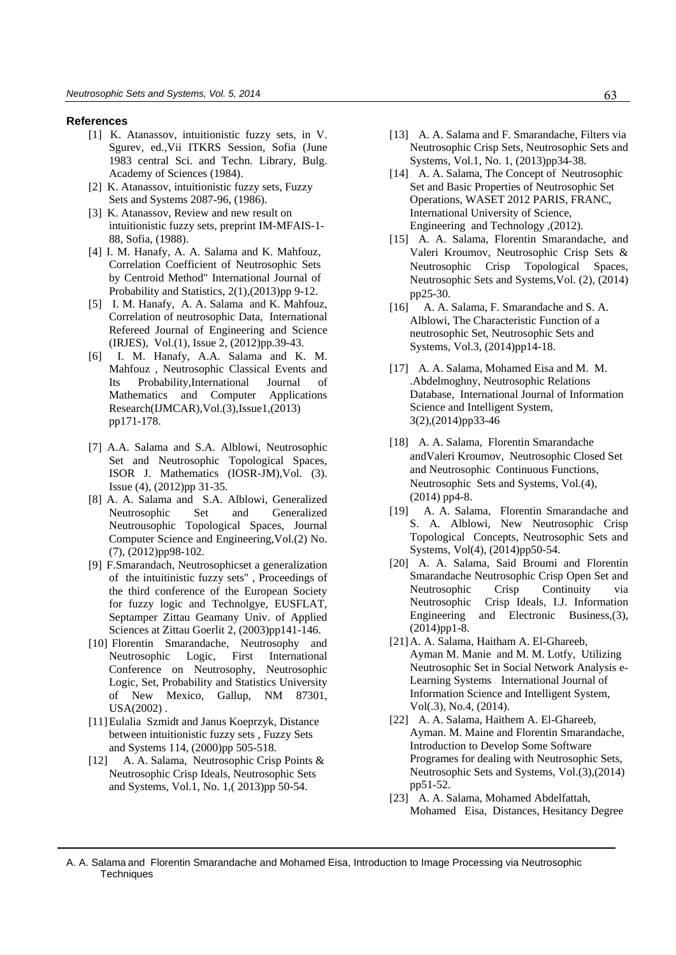#### **References**

- [1] K. Atanassov, intuitionistic fuzzy sets, in V. Sgurev, ed.,Vii ITKRS Session, Sofia (June 1983 central Sci. and Techn. Library, Bulg. Academy of Sciences (1984).
- [2] K. Atanassov, intuitionistic fuzzy sets, Fuzzy Sets and Systems 2087-96, (1986).
- [3] K. Atanassov, Review and new result on intuitionistic fuzzy sets, preprint IM-MFAIS-1- 88, Sofia, (1988).
- [4] I. M. Hanafy, A. A. Salama and K. Mahfouz, Correlation Coefficient of Neutrosophic Sets by Centroid Method" International Journal of Probability and Statistics, 2(1),(2013)pp 9-12.
- [5] I. M. Hanafy, A. A. Salama and K. Mahfouz, Correlation of neutrosophic Data, International Refereed Journal of Engineering and Science (IRJES), Vol.(1), Issue 2, (2012)pp.39-43.
- [6] I. M. Hanafy, A.A. Salama and K. M. Mahfouz , Neutrosophic Classical Events and Its Probability,International Journal of Mathematics and Computer Applications Research(IJMCAR),Vol.(3),Issue1,(2013) pp171-178.
- [7] A.A. Salama and S.A. Alblowi, Neutrosophic Set and Neutrosophic Topological Spaces, ISOR J. Mathematics (IOSR-JM),Vol. (3). Issue (4), (2012)pp 31-35.
- [8] A. A. Salama and S.A. Alblowi, Generalized Neutrosophic Set and Generalized Neutrousophic Topological Spaces, Journal Computer Science and Engineering,Vol.(2) No. (7), (2012)pp98-102.
- [9] F.Smarandach, Neutrosophicset a generalization of the intuitinistic fuzzy sets" , Proceedings of the third conference of the European Society for fuzzy logic and Technolgye, EUSFLAT, Septamper Zittau Geamany Univ. of Applied Sciences at Zittau Goerlit 2, (2003)pp141-146.
- [10] Florentin Smarandache, Neutrosophy and Neutrosophic Logic, First International Conference on Neutrosophy, Neutrosophic Logic, Set, Probability and Statistics University of New Mexico, Gallup, NM 87301, USA(2002) .
- [11]Eulalia Szmidt and Janus Koeprzyk, Distance between intuitionistic fuzzy sets , Fuzzy Sets and Systems 114, (2000)pp 505-518.
- [12] A. A. Salama, Neutrosophic Crisp Points & Neutrosophic Crisp Ideals, Neutrosophic Sets and Systems, Vol.1, No. 1,( 2013)pp 50-54.
- [13] A. A. Salama and F. Smarandache, Filters via Neutrosophic Crisp Sets, Neutrosophic Sets and Systems, Vol.1, No. 1, (2013)pp34-38.
- [14] A. A. Salama, The Concept of Neutrosophic Set and Basic Properties of Neutrosophic Set Operations, WASET 2012 PARIS, FRANC, International University of Science, Engineering and Technology ,(2012).
- [15] A. A. Salama, Florentin Smarandache, and Valeri Kroumov, Neutrosophic Crisp Sets & Neutrosophic Crisp Topological Spaces, Neutrosophic Sets and Systems,Vol. (2), (2014) pp25-30.
- [16] A. A. Salama, F. Smarandache and S. A. Alblowi, The Characteristic Function of a neutrosophic Set, Neutrosophic Sets and Systems, Vol.3, (2014)pp14-18.
- [17] A. A. Salama, Mohamed Eisa and M. M. .Abdelmoghny, Neutrosophic Relations Database, International Journal of Information Science and Intelligent System, 3(2),(2014)pp33-46
- [18] A. A. Salama, Florentin Smarandache andValeri Kroumov, Neutrosophic Closed Set and Neutrosophic Continuous Functions, Neutrosophic Sets and Systems, Vol.(4), (2014) pp4-8.
- [19] A. A. Salama, Florentin Smarandache and S. A. Alblowi, New Neutrosophic Crisp Topological Concepts, Neutrosophic Sets and Systems, Vol(4), (2014)pp50-54.
- [20] A. A. Salama, Said Broumi and Florentin Smarandache Neutrosophic Crisp Open Set and Neutrosophic Crisp Continuity via Neutrosophic Crisp Ideals, I.J. Information Engineering and Electronic Business,(3), (2014)pp1-8.
- [21]A. A. Salama, Haitham A. El-Ghareeb, Ayman M. Manie and M. M. Lotfy, Utilizing Neutrosophic Set in Social Network Analysis e-Learning Systems International Journal of Information Science and Intelligent System, Vol(.3), No.4, (2014).
- [22] A. A. Salama, Haithem A. El-Ghareeb, Ayman. M. Maine and Florentin Smarandache, Introduction to Develop Some Software Programes for dealing with Neutrosophic Sets, Neutrosophic Sets and Systems, Vol.(3),(2014) pp51-52.
- [23] A. A. Salama, Mohamed Abdelfattah, Mohamed Eisa, Distances, Hesitancy Degree

A. A. Salama and Florentin Smarandache and Mohamed Eisa, Introduction to Image Processing via Neutrosophic **Techniques**